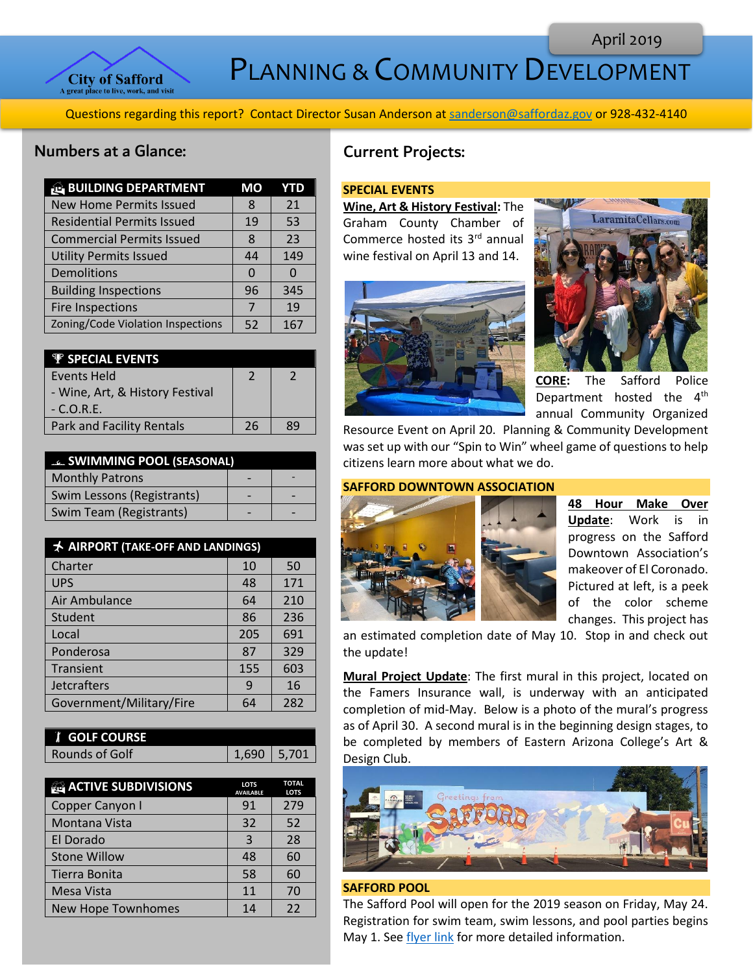

PLANNING & COMMUNITY DEVELOPMENT

Questions regarding this report? Contact Director Susan Anderson a[t sanderson@saffordaz.gov](mailto:sanderson@saffordaz.gov) or 928-432-4140

## Numbers at a Glance:

| <b>BUILDING DEPARTMENT</b>        | МO | YTD |
|-----------------------------------|----|-----|
| <b>New Home Permits Issued</b>    | 8  | 21  |
| <b>Residential Permits Issued</b> | 19 | 53  |
| <b>Commercial Permits Issued</b>  | 8  | 23  |
| <b>Utility Permits Issued</b>     | 44 | 149 |
| Demolitions                       | O  |     |
| <b>Building Inspections</b>       | 96 | 345 |
| <b>Fire Inspections</b>           | 7  | 19  |
| Zoning/Code Violation Inspections | 52 | 167 |

| <b>P</b> SPECIAL EVENTS          |    |    |
|----------------------------------|----|----|
| Events Held                      |    |    |
| - Wine, Art, & History Festival  |    |    |
| $-C.O.R.E.$                      |    |    |
| <b>Park and Facility Rentals</b> | 26 | 89 |

| <b>EL SWIMMING POOL (SEASONAL)</b> |  |
|------------------------------------|--|
| <b>Monthly Patrons</b>             |  |
| Swim Lessons (Registrants)         |  |
| Swim Team (Registrants)            |  |

| <b>★ AIRPORT (TAKE-OFF AND LANDINGS)</b> |     |     |
|------------------------------------------|-----|-----|
| Charter                                  | 10  | 50  |
| <b>UPS</b>                               | 48  | 171 |
| Air Ambulance                            | 64  | 210 |
| Student                                  | 86  | 236 |
| Local                                    | 205 | 691 |
| Ponderosa                                | 87  | 329 |
| Transient                                | 155 | 603 |
| Jetcrafters                              | 9   | 16  |
| Government/Military/Fire                 | 64  | 282 |

| <b>I</b> GOLF COURSE |               |  |
|----------------------|---------------|--|
| Rounds of Golf       | $1.690$ 5.701 |  |

| <b>ACTIVE SUBDIVISIONS</b> | <b>LOTS</b><br><b>AVAILABLE</b> | <b>TOTAL</b><br><b>LOTS</b> |
|----------------------------|---------------------------------|-----------------------------|
| Copper Canyon I            | 91                              | 279                         |
| Montana Vista              | 32                              | 52                          |
| El Dorado                  | 3                               | 28                          |
| <b>Stone Willow</b>        | 48                              | 60                          |
| Tierra Bonita              | 58                              | 60                          |
| Mesa Vista                 | 11                              | 70                          |
| New Hope Townhomes         | 14                              | 22                          |

# Current Projects:

#### **SPECIAL EVENTS**

**Wine, Art & History Festival:** The Graham County Chamber of Commerce hosted its 3rd annual wine festival on April 13 and 14.





**CORE:** The Safford Police Department hosted the  $4<sup>th</sup>$ annual Community Organized

Resource Event on April 20. Planning & Community Development was set up with our "Spin to Win" wheel game of questions to help citizens learn more about what we do.

### **SAFFORD DOWNTOWN ASSOCIATION**



**48 Hour Make Over Update**: Work is in progress on the Safford Downtown Association's makeover of El Coronado. Pictured at left, is a peek of the color scheme changes. This project has

an estimated completion date of May 10. Stop in and check out the update!

**Mural Project Update**: The first mural in this project, located on the Famers Insurance wall, is underway with an anticipated completion of mid-May. Below is a photo of the mural's progress as of April 30. A second mural is in the beginning design stages, to be completed by members of Eastern Arizona College's Art & Design Club.



#### **SAFFORD POOL**

The Safford Pool will open for the 2019 season on Friday, May 24. Registration for swim team, swim lessons, and pool parties begins May 1. Se[e flyer link](http://az-safford.civicplus.com/DocumentCenter/View/1151/Pool-Schedule-2019) for more detailed information.